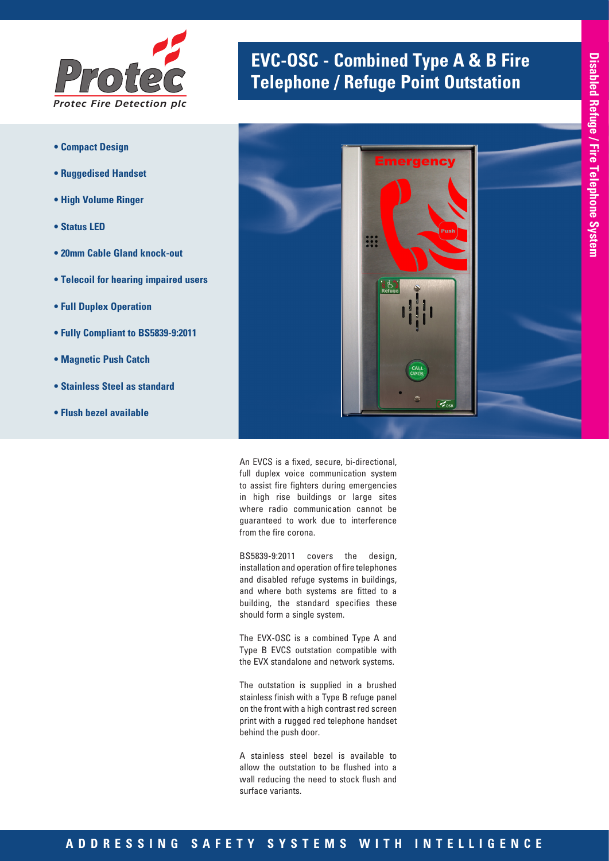

- **Compact Design**
- **Ruggedised Handset**
- **High Volume Ringer**
- **Status LED**
- **20mm Cable Gland knock-out**
- **Telecoil for hearing impaired users**
- **Full Duplex Operation**
- **Fully Compliant to BS5839-9:2011**
- **Magnetic Push Catch**
- **Stainless Steel as standard**
- **Flush bezel available**

# **EVC-OSC - Combined Type A & B Fire** *Telephone / Refuge Point Outstation*



An EVCS is a fixed, secure, bi-directional, full duplex voice communication system to assist fire fighters during emergencies in high rise buildings or large sites where radio communication cannot be guaranteed to work due to interference from the fire corona.

BS5839-9:2011 covers the design, installation and operation of fire telephones and disabled refuge systems in buildings, and where both systems are fitted to a building, the standard specifies these should form a single system.

The EVX-OSC is a combined Type A and Type B EVCS outstation compatible with the EVX standalone and network systems.

The outstation is supplied in a brushed stainless finish with a Type B refuge panel on the front with a high contrast red screen print with a rugged red telephone handset behind the push door.

A stainless steel bezel is available to allow the outstation to be flushed into a wall reducing the need to stock flush and surface variants.